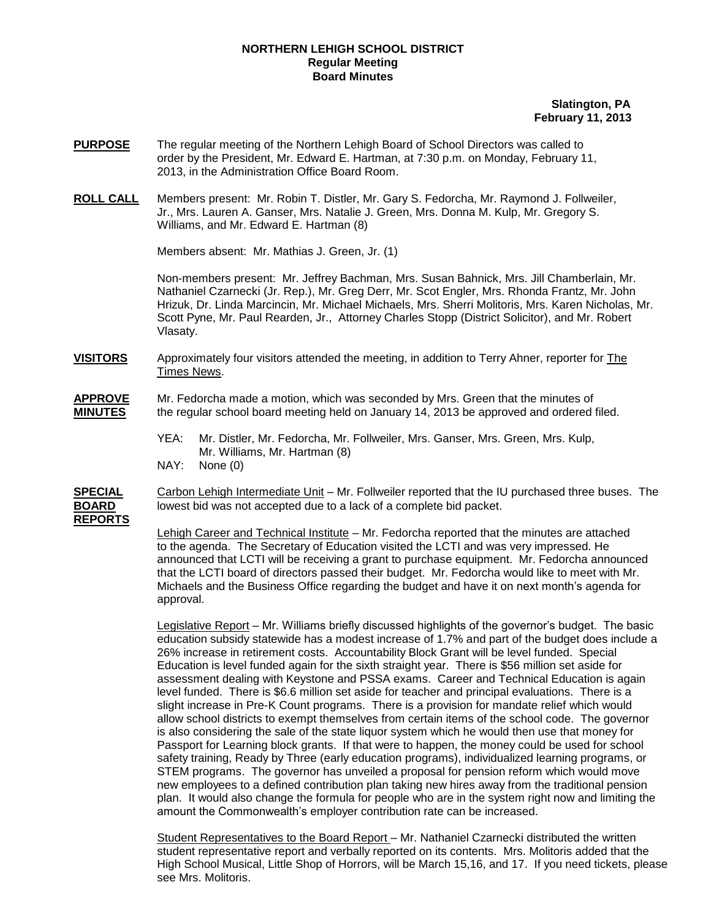## **NORTHERN LEHIGH SCHOOL DISTRICT Regular Meeting Board Minutes**

## **Slatington, PA February 11, 2013**

- **PURPOSE** The regular meeting of the Northern Lehigh Board of School Directors was called to order by the President, Mr. Edward E. Hartman, at 7:30 p.m. on Monday, February 11, 2013, in the Administration Office Board Room.
- **ROLL CALL** Members present: Mr. Robin T. Distler, Mr. Gary S. Fedorcha, Mr. Raymond J. Follweiler, Jr., Mrs. Lauren A. Ganser, Mrs. Natalie J. Green, Mrs. Donna M. Kulp, Mr. Gregory S. Williams, and Mr. Edward E. Hartman (8)

Members absent: Mr. Mathias J. Green, Jr. (1)

Non-members present: Mr. Jeffrey Bachman, Mrs. Susan Bahnick, Mrs. Jill Chamberlain, Mr. Nathaniel Czarnecki (Jr. Rep.), Mr. Greg Derr, Mr. Scot Engler, Mrs. Rhonda Frantz, Mr. John Hrizuk, Dr. Linda Marcincin, Mr. Michael Michaels, Mrs. Sherri Molitoris, Mrs. Karen Nicholas, Mr. Scott Pyne, Mr. Paul Rearden, Jr., Attorney Charles Stopp (District Solicitor), and Mr. Robert Vlasaty.

**VISITORS** Approximately four visitors attended the meeting, in addition to Terry Ahner, reporter for The Times News.

**APPROVE** Mr. Fedorcha made a motion, which was seconded by Mrs. Green that the minutes of **MINUTES** the regular school board meeting held on January 14, 2013 be approved and ordered filed.

- YEA: Mr. Distler, Mr. Fedorcha, Mr. Follweiler, Mrs. Ganser, Mrs. Green, Mrs. Kulp, Mr. Williams, Mr. Hartman (8) NAY: None (0)
- **SPECIAL** Carbon Lehigh Intermediate Unit Mr. Follweiler reported that the IU purchased three buses. The **BOARD** lowest bid was not accepted due to a lack of a complete bid packet. **REPORTS**

Lehigh Career and Technical Institute - Mr. Fedorcha reported that the minutes are attached to the agenda. The Secretary of Education visited the LCTI and was very impressed. He announced that LCTI will be receiving a grant to purchase equipment. Mr. Fedorcha announced that the LCTI board of directors passed their budget. Mr. Fedorcha would like to meet with Mr. Michaels and the Business Office regarding the budget and have it on next month's agenda for approval.

Legislative Report – Mr. Williams briefly discussed highlights of the governor's budget. The basic education subsidy statewide has a modest increase of 1.7% and part of the budget does include a 26% increase in retirement costs. Accountability Block Grant will be level funded. Special Education is level funded again for the sixth straight year. There is \$56 million set aside for assessment dealing with Keystone and PSSA exams. Career and Technical Education is again level funded. There is \$6.6 million set aside for teacher and principal evaluations. There is a slight increase in Pre-K Count programs. There is a provision for mandate relief which would allow school districts to exempt themselves from certain items of the school code. The governor is also considering the sale of the state liquor system which he would then use that money for Passport for Learning block grants. If that were to happen, the money could be used for school safety training, Ready by Three (early education programs), individualized learning programs, or STEM programs. The governor has unveiled a proposal for pension reform which would move new employees to a defined contribution plan taking new hires away from the traditional pension plan. It would also change the formula for people who are in the system right now and limiting the amount the Commonwealth's employer contribution rate can be increased.

Student Representatives to the Board Report - Mr. Nathaniel Czarnecki distributed the written student representative report and verbally reported on its contents. Mrs. Molitoris added that the High School Musical, Little Shop of Horrors, will be March 15,16, and 17. If you need tickets, please see Mrs. Molitoris.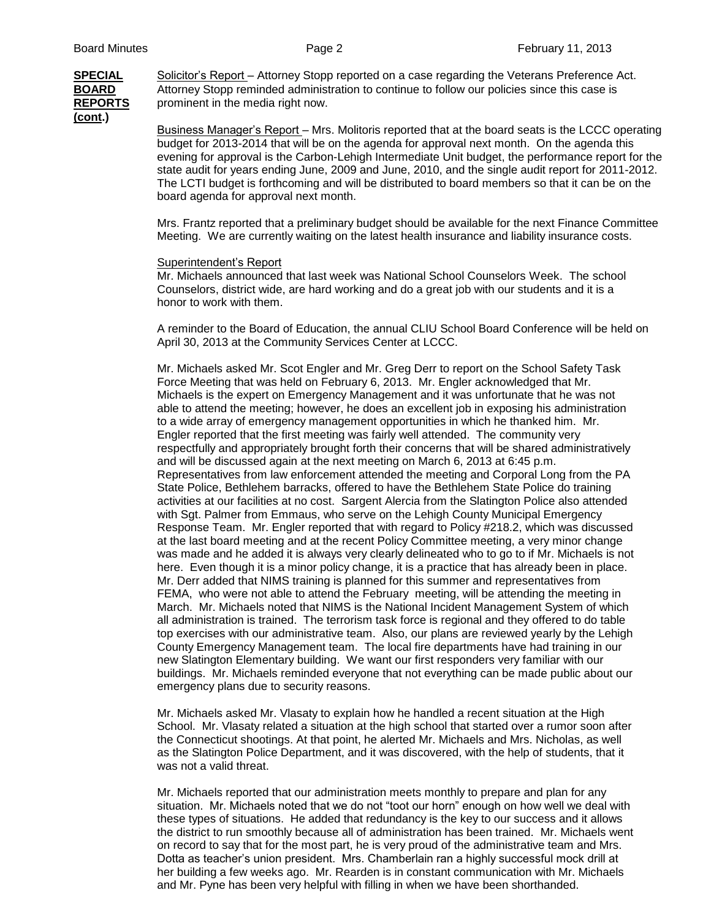**SPECIAL** Solicitor's Report – Attorney Stopp reported on a case regarding the Veterans Preference Act. **BOARD** Attorney Stopp reminded administration to continue to follow our policies since this case is **REPORTS** prominent in the media right now. **(cont.)**

Business Manager's Report – Mrs. Molitoris reported that at the board seats is the LCCC operating budget for 2013-2014 that will be on the agenda for approval next month. On the agenda this evening for approval is the Carbon-Lehigh Intermediate Unit budget, the performance report for the state audit for years ending June, 2009 and June, 2010, and the single audit report for 2011-2012. The LCTI budget is forthcoming and will be distributed to board members so that it can be on the board agenda for approval next month.

Mrs. Frantz reported that a preliminary budget should be available for the next Finance Committee Meeting. We are currently waiting on the latest health insurance and liability insurance costs.

## Superintendent's Report

Mr. Michaels announced that last week was National School Counselors Week. The school Counselors, district wide, are hard working and do a great job with our students and it is a honor to work with them.

A reminder to the Board of Education, the annual CLIU School Board Conference will be held on April 30, 2013 at the Community Services Center at LCCC.

Mr. Michaels asked Mr. Scot Engler and Mr. Greg Derr to report on the School Safety Task Force Meeting that was held on February 6, 2013. Mr. Engler acknowledged that Mr. Michaels is the expert on Emergency Management and it was unfortunate that he was not able to attend the meeting; however, he does an excellent job in exposing his administration to a wide array of emergency management opportunities in which he thanked him. Mr. Engler reported that the first meeting was fairly well attended. The community very respectfully and appropriately brought forth their concerns that will be shared administratively and will be discussed again at the next meeting on March 6, 2013 at 6:45 p.m. Representatives from law enforcement attended the meeting and Corporal Long from the PA State Police, Bethlehem barracks, offered to have the Bethlehem State Police do training activities at our facilities at no cost. Sargent Alercia from the Slatington Police also attended with Sgt. Palmer from Emmaus, who serve on the Lehigh County Municipal Emergency Response Team. Mr. Engler reported that with regard to Policy #218.2, which was discussed at the last board meeting and at the recent Policy Committee meeting, a very minor change was made and he added it is always very clearly delineated who to go to if Mr. Michaels is not here. Even though it is a minor policy change, it is a practice that has already been in place. Mr. Derr added that NIMS training is planned for this summer and representatives from FEMA, who were not able to attend the February meeting, will be attending the meeting in March. Mr. Michaels noted that NIMS is the National Incident Management System of which all administration is trained. The terrorism task force is regional and they offered to do table top exercises with our administrative team. Also, our plans are reviewed yearly by the Lehigh County Emergency Management team. The local fire departments have had training in our new Slatington Elementary building. We want our first responders very familiar with our buildings. Mr. Michaels reminded everyone that not everything can be made public about our emergency plans due to security reasons.

Mr. Michaels asked Mr. Vlasaty to explain how he handled a recent situation at the High School. Mr. Vlasaty related a situation at the high school that started over a rumor soon after the Connecticut shootings. At that point, he alerted Mr. Michaels and Mrs. Nicholas, as well as the Slatington Police Department, and it was discovered, with the help of students, that it was not a valid threat.

Mr. Michaels reported that our administration meets monthly to prepare and plan for any situation. Mr. Michaels noted that we do not "toot our horn" enough on how well we deal with these types of situations. He added that redundancy is the key to our success and it allows the district to run smoothly because all of administration has been trained. Mr. Michaels went on record to say that for the most part, he is very proud of the administrative team and Mrs. Dotta as teacher's union president. Mrs. Chamberlain ran a highly successful mock drill at her building a few weeks ago. Mr. Rearden is in constant communication with Mr. Michaels and Mr. Pyne has been very helpful with filling in when we have been shorthanded.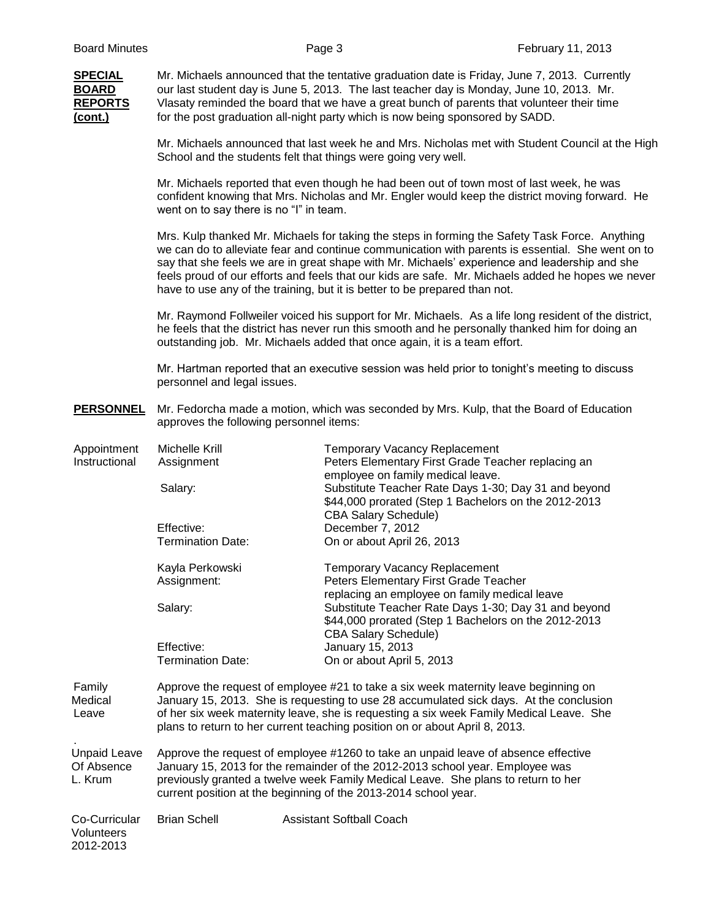| <b>SPECIAL</b><br><b>BOARD</b><br><b>REPORTS</b><br>(cont.) | Mr. Michaels announced that the tentative graduation date is Friday, June 7, 2013. Currently<br>our last student day is June 5, 2013. The last teacher day is Monday, June 10, 2013. Mr.<br>Vlasaty reminded the board that we have a great bunch of parents that volunteer their time<br>for the post graduation all-night party which is now being sponsored by SADD.                                                                                                                |                                                                                                                                             |  |  |
|-------------------------------------------------------------|----------------------------------------------------------------------------------------------------------------------------------------------------------------------------------------------------------------------------------------------------------------------------------------------------------------------------------------------------------------------------------------------------------------------------------------------------------------------------------------|---------------------------------------------------------------------------------------------------------------------------------------------|--|--|
|                                                             | Mr. Michaels announced that last week he and Mrs. Nicholas met with Student Council at the High<br>School and the students felt that things were going very well.                                                                                                                                                                                                                                                                                                                      |                                                                                                                                             |  |  |
|                                                             | Mr. Michaels reported that even though he had been out of town most of last week, he was<br>confident knowing that Mrs. Nicholas and Mr. Engler would keep the district moving forward. He<br>went on to say there is no "I" in team.                                                                                                                                                                                                                                                  |                                                                                                                                             |  |  |
|                                                             | Mrs. Kulp thanked Mr. Michaels for taking the steps in forming the Safety Task Force. Anything<br>we can do to alleviate fear and continue communication with parents is essential. She went on to<br>say that she feels we are in great shape with Mr. Michaels' experience and leadership and she<br>feels proud of our efforts and feels that our kids are safe. Mr. Michaels added he hopes we never<br>have to use any of the training, but it is better to be prepared than not. |                                                                                                                                             |  |  |
|                                                             | Mr. Raymond Follweiler voiced his support for Mr. Michaels. As a life long resident of the district,<br>he feels that the district has never run this smooth and he personally thanked him for doing an<br>outstanding job. Mr. Michaels added that once again, it is a team effort.                                                                                                                                                                                                   |                                                                                                                                             |  |  |
|                                                             | Mr. Hartman reported that an executive session was held prior to tonight's meeting to discuss<br>personnel and legal issues.                                                                                                                                                                                                                                                                                                                                                           |                                                                                                                                             |  |  |
| <b>PERSONNEL</b>                                            | Mr. Fedorcha made a motion, which was seconded by Mrs. Kulp, that the Board of Education<br>approves the following personnel items:                                                                                                                                                                                                                                                                                                                                                    |                                                                                                                                             |  |  |
| Appointment<br>Instructional                                | Michelle Krill<br>Assignment                                                                                                                                                                                                                                                                                                                                                                                                                                                           | <b>Temporary Vacancy Replacement</b><br>Peters Elementary First Grade Teacher replacing an<br>employee on family medical leave.             |  |  |
|                                                             | Salary:                                                                                                                                                                                                                                                                                                                                                                                                                                                                                | Substitute Teacher Rate Days 1-30; Day 31 and beyond<br>\$44,000 prorated (Step 1 Bachelors on the 2012-2013<br><b>CBA Salary Schedule)</b> |  |  |
|                                                             | Effective:<br><b>Termination Date:</b>                                                                                                                                                                                                                                                                                                                                                                                                                                                 | December 7, 2012<br>On or about April 26, 2013                                                                                              |  |  |
|                                                             | Kayla Perkowski<br>Assignment:                                                                                                                                                                                                                                                                                                                                                                                                                                                         | <b>Temporary Vacancy Replacement</b><br>Peters Elementary First Grade Teacher<br>replacing an employee on family medical leave              |  |  |
|                                                             | Salary:                                                                                                                                                                                                                                                                                                                                                                                                                                                                                | Substitute Teacher Rate Days 1-30; Day 31 and beyond<br>\$44,000 prorated (Step 1 Bachelors on the 2012-2013<br><b>CBA Salary Schedule)</b> |  |  |
|                                                             | Effective:<br><b>Termination Date:</b>                                                                                                                                                                                                                                                                                                                                                                                                                                                 | January 15, 2013<br>On or about April 5, 2013                                                                                               |  |  |
| Family<br>Medical<br>Leave                                  | Approve the request of employee #21 to take a six week maternity leave beginning on<br>January 15, 2013. She is requesting to use 28 accumulated sick days. At the conclusion<br>of her six week maternity leave, she is requesting a six week Family Medical Leave. She<br>plans to return to her current teaching position on or about April 8, 2013.                                                                                                                                |                                                                                                                                             |  |  |
| <b>Unpaid Leave</b><br>Of Absence<br>L. Krum                | Approve the request of employee #1260 to take an unpaid leave of absence effective<br>January 15, 2013 for the remainder of the 2012-2013 school year. Employee was<br>previously granted a twelve week Family Medical Leave. She plans to return to her<br>current position at the beginning of the 2013-2014 school year.                                                                                                                                                            |                                                                                                                                             |  |  |
| Co-Curricular<br>Volunteers<br>2012-2013                    | <b>Brian Schell</b>                                                                                                                                                                                                                                                                                                                                                                                                                                                                    | <b>Assistant Softball Coach</b>                                                                                                             |  |  |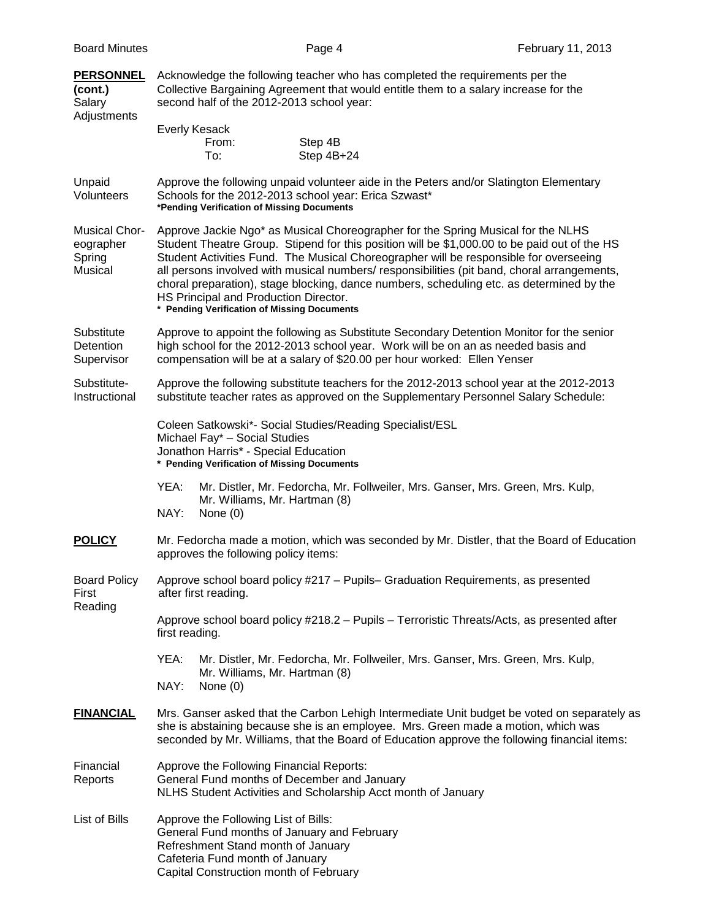| <b>PERSONNEL</b><br>(cont.)<br>Salary<br>Adjustments   | Acknowledge the following teacher who has completed the requirements per the<br>Collective Bargaining Agreement that would entitle them to a salary increase for the<br>second half of the 2012-2013 school year:                                                                                                                                                                                                                                                                                                                                            |  |  |  |
|--------------------------------------------------------|--------------------------------------------------------------------------------------------------------------------------------------------------------------------------------------------------------------------------------------------------------------------------------------------------------------------------------------------------------------------------------------------------------------------------------------------------------------------------------------------------------------------------------------------------------------|--|--|--|
|                                                        | <b>Everly Kesack</b><br>Step 4B<br>From:<br>Step 4B+24<br>To:                                                                                                                                                                                                                                                                                                                                                                                                                                                                                                |  |  |  |
| Unpaid<br>Volunteers                                   | Approve the following unpaid volunteer aide in the Peters and/or Slatington Elementary<br>Schools for the 2012-2013 school year: Erica Szwast*<br>*Pending Verification of Missing Documents                                                                                                                                                                                                                                                                                                                                                                 |  |  |  |
| <b>Musical Chor-</b><br>eographer<br>Spring<br>Musical | Approve Jackie Ngo* as Musical Choreographer for the Spring Musical for the NLHS<br>Student Theatre Group. Stipend for this position will be \$1,000.00 to be paid out of the HS<br>Student Activities Fund. The Musical Choreographer will be responsible for overseeing<br>all persons involved with musical numbers/ responsibilities (pit band, choral arrangements,<br>choral preparation), stage blocking, dance numbers, scheduling etc. as determined by the<br>HS Principal and Production Director.<br>* Pending Verification of Missing Documents |  |  |  |
| Substitute<br>Detention<br>Supervisor                  | Approve to appoint the following as Substitute Secondary Detention Monitor for the senior<br>high school for the 2012-2013 school year. Work will be on an as needed basis and<br>compensation will be at a salary of \$20.00 per hour worked: Ellen Yenser                                                                                                                                                                                                                                                                                                  |  |  |  |
| Substitute-<br>Instructional                           | Approve the following substitute teachers for the 2012-2013 school year at the 2012-2013<br>substitute teacher rates as approved on the Supplementary Personnel Salary Schedule:                                                                                                                                                                                                                                                                                                                                                                             |  |  |  |
|                                                        | Coleen Satkowski*- Social Studies/Reading Specialist/ESL<br>Michael Fay* - Social Studies<br>Jonathon Harris* - Special Education<br>* Pending Verification of Missing Documents                                                                                                                                                                                                                                                                                                                                                                             |  |  |  |
|                                                        | YEA:<br>Mr. Distler, Mr. Fedorcha, Mr. Follweiler, Mrs. Ganser, Mrs. Green, Mrs. Kulp,<br>Mr. Williams, Mr. Hartman (8)<br>NAY:<br>None $(0)$                                                                                                                                                                                                                                                                                                                                                                                                                |  |  |  |
| <b>POLICY</b>                                          | Mr. Fedorcha made a motion, which was seconded by Mr. Distler, that the Board of Education<br>approves the following policy items:                                                                                                                                                                                                                                                                                                                                                                                                                           |  |  |  |
| <b>Board Policy</b><br>First<br>Reading                | Approve school board policy #217 – Pupils– Graduation Requirements, as presented<br>after first reading.                                                                                                                                                                                                                                                                                                                                                                                                                                                     |  |  |  |
|                                                        | Approve school board policy #218.2 - Pupils - Terroristic Threats/Acts, as presented after<br>first reading.                                                                                                                                                                                                                                                                                                                                                                                                                                                 |  |  |  |
|                                                        | YEA:<br>Mr. Distler, Mr. Fedorcha, Mr. Follweiler, Mrs. Ganser, Mrs. Green, Mrs. Kulp,<br>Mr. Williams, Mr. Hartman (8)<br>NAY:<br>None $(0)$                                                                                                                                                                                                                                                                                                                                                                                                                |  |  |  |
| <b>FINANCIAL</b>                                       | Mrs. Ganser asked that the Carbon Lehigh Intermediate Unit budget be voted on separately as<br>she is abstaining because she is an employee. Mrs. Green made a motion, which was<br>seconded by Mr. Williams, that the Board of Education approve the following financial items:                                                                                                                                                                                                                                                                             |  |  |  |
| Financial<br>Reports                                   | Approve the Following Financial Reports:<br>General Fund months of December and January<br>NLHS Student Activities and Scholarship Acct month of January                                                                                                                                                                                                                                                                                                                                                                                                     |  |  |  |
| List of Bills                                          | Approve the Following List of Bills:<br>General Fund months of January and February<br>Refreshment Stand month of January<br>Cafeteria Fund month of January<br>Capital Construction month of February                                                                                                                                                                                                                                                                                                                                                       |  |  |  |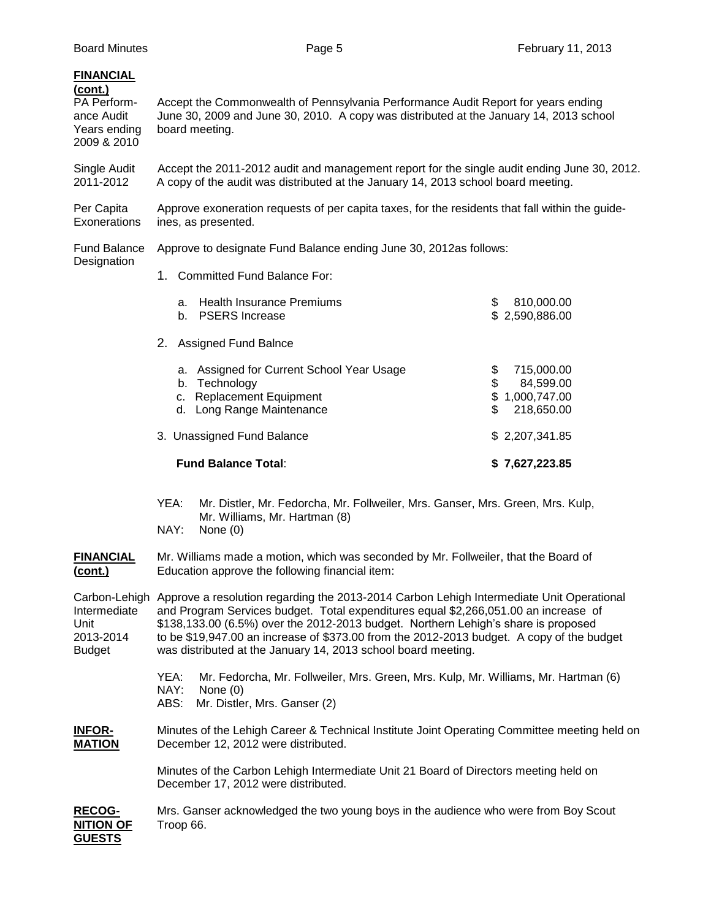| <b>FINANCIAL</b><br>(cont.)<br>PA Perform-<br>ance Audit<br>Years ending<br>2009 & 2010 | Accept the Commonwealth of Pennsylvania Performance Audit Report for years ending<br>June 30, 2009 and June 30, 2010. A copy was distributed at the January 14, 2013 school<br>board meeting.                                                                                                                                                                                                                                                     |                                                                           |  |  |  |
|-----------------------------------------------------------------------------------------|---------------------------------------------------------------------------------------------------------------------------------------------------------------------------------------------------------------------------------------------------------------------------------------------------------------------------------------------------------------------------------------------------------------------------------------------------|---------------------------------------------------------------------------|--|--|--|
| Single Audit<br>2011-2012                                                               | Accept the 2011-2012 audit and management report for the single audit ending June 30, 2012.<br>A copy of the audit was distributed at the January 14, 2013 school board meeting.                                                                                                                                                                                                                                                                  |                                                                           |  |  |  |
| Per Capita<br>Exonerations                                                              | Approve exoneration requests of per capita taxes, for the residents that fall within the guide-<br>ines, as presented.                                                                                                                                                                                                                                                                                                                            |                                                                           |  |  |  |
| <b>Fund Balance</b><br>Designation                                                      | Approve to designate Fund Balance ending June 30, 2012as follows:                                                                                                                                                                                                                                                                                                                                                                                 |                                                                           |  |  |  |
|                                                                                         | 1. Committed Fund Balance For:                                                                                                                                                                                                                                                                                                                                                                                                                    |                                                                           |  |  |  |
|                                                                                         | a. Health Insurance Premiums<br>b. PSERS Increase                                                                                                                                                                                                                                                                                                                                                                                                 | \$<br>810,000.00<br>\$2,590,886.00                                        |  |  |  |
|                                                                                         | 2. Assigned Fund Balnce                                                                                                                                                                                                                                                                                                                                                                                                                           |                                                                           |  |  |  |
|                                                                                         | a. Assigned for Current School Year Usage<br>b. Technology<br><b>Replacement Equipment</b><br>c.<br>d. Long Range Maintenance                                                                                                                                                                                                                                                                                                                     | \$<br>715,000.00<br>\$<br>84,599.00<br>\$1,000,747.00<br>\$<br>218,650.00 |  |  |  |
|                                                                                         | 3. Unassigned Fund Balance                                                                                                                                                                                                                                                                                                                                                                                                                        | \$2,207,341.85                                                            |  |  |  |
|                                                                                         | <b>Fund Balance Total:</b>                                                                                                                                                                                                                                                                                                                                                                                                                        | \$7,627,223.85                                                            |  |  |  |
|                                                                                         | YEA:<br>Mr. Distler, Mr. Fedorcha, Mr. Follweiler, Mrs. Ganser, Mrs. Green, Mrs. Kulp,<br>Mr. Williams, Mr. Hartman (8)<br>NAY:<br>None $(0)$                                                                                                                                                                                                                                                                                                     |                                                                           |  |  |  |
| <b>FINANCIAL</b><br><u>(cont.)</u>                                                      | Mr. Williams made a motion, which was seconded by Mr. Follweiler, that the Board of<br>Education approve the following financial item:                                                                                                                                                                                                                                                                                                            |                                                                           |  |  |  |
| Intermediate<br>Unit<br>2013-2014<br><b>Budget</b>                                      | Carbon-Lehigh Approve a resolution regarding the 2013-2014 Carbon Lehigh Intermediate Unit Operational<br>and Program Services budget. Total expenditures equal \$2,266,051.00 an increase of<br>\$138,133.00 (6.5%) over the 2012-2013 budget. Northern Lehigh's share is proposed<br>to be \$19,947.00 an increase of \$373.00 from the 2012-2013 budget. A copy of the budget<br>was distributed at the January 14, 2013 school board meeting. |                                                                           |  |  |  |
|                                                                                         | YEA:<br>Mr. Fedorcha, Mr. Follweiler, Mrs. Green, Mrs. Kulp, Mr. Williams, Mr. Hartman (6)<br>NAY:<br>None $(0)$<br>ABS:<br>Mr. Distler, Mrs. Ganser (2)                                                                                                                                                                                                                                                                                          |                                                                           |  |  |  |
| <b>INFOR-</b><br><b>MATION</b>                                                          | Minutes of the Lehigh Career & Technical Institute Joint Operating Committee meeting held on<br>December 12, 2012 were distributed.                                                                                                                                                                                                                                                                                                               |                                                                           |  |  |  |
|                                                                                         | Minutes of the Carbon Lehigh Intermediate Unit 21 Board of Directors meeting held on<br>December 17, 2012 were distributed.                                                                                                                                                                                                                                                                                                                       |                                                                           |  |  |  |
| <b>RECOG-</b><br><b>NITION OF</b><br><b>GUESTS</b>                                      | Mrs. Ganser acknowledged the two young boys in the audience who were from Boy Scout<br>Troop 66.                                                                                                                                                                                                                                                                                                                                                  |                                                                           |  |  |  |